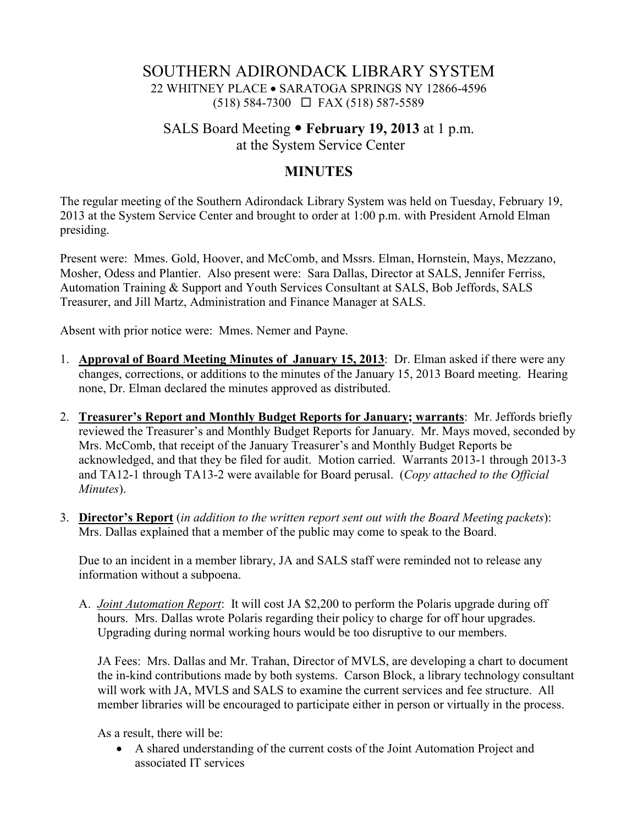## SOUTHERN ADIRONDACK LIBRARY SYSTEM 22 WHITNEY PLACE • SARATOGA SPRINGS NY 12866-4596 (518) 584-7300 FAX (518) 587-5589

# SALS Board Meeting **February 19, 2013** at 1 p.m. at the System Service Center

### **MINUTES**

The regular meeting of the Southern Adirondack Library System was held on Tuesday, February 19, 2013 at the System Service Center and brought to order at 1:00 p.m. with President Arnold Elman presiding.

Present were: Mmes. Gold, Hoover, and McComb, and Mssrs. Elman, Hornstein, Mays, Mezzano, Mosher, Odess and Plantier. Also present were: Sara Dallas, Director at SALS, Jennifer Ferriss, Automation Training & Support and Youth Services Consultant at SALS, Bob Jeffords, SALS Treasurer, and Jill Martz, Administration and Finance Manager at SALS.

Absent with prior notice were: Mmes. Nemer and Payne.

- 1. **Approval of Board Meeting Minutes of January 15, 2013**: Dr. Elman asked if there were any changes, corrections, or additions to the minutes of the January 15, 2013 Board meeting. Hearing none, Dr. Elman declared the minutes approved as distributed.
- 2. **Treasurer's Report and Monthly Budget Reports for January; warrants**: Mr. Jeffords briefly reviewed the Treasurer's and Monthly Budget Reports for January. Mr. Mays moved, seconded by Mrs. McComb, that receipt of the January Treasurer's and Monthly Budget Reports be acknowledged, and that they be filed for audit. Motion carried. Warrants 2013-1 through 2013-3 and TA12-1 through TA13-2 were available for Board perusal. (*Copy attached to the Official Minutes*).
- 3. **Director's Report** (*in addition to the written report sent out with the Board Meeting packets*): Mrs. Dallas explained that a member of the public may come to speak to the Board.

Due to an incident in a member library, JA and SALS staff were reminded not to release any information without a subpoena.

A. *Joint Automation Report*: It will cost JA \$2,200 to perform the Polaris upgrade during off hours. Mrs. Dallas wrote Polaris regarding their policy to charge for off hour upgrades. Upgrading during normal working hours would be too disruptive to our members.

JA Fees: Mrs. Dallas and Mr. Trahan, Director of MVLS, are developing a chart to document the in-kind contributions made by both systems. Carson Block, a library technology consultant will work with JA, MVLS and SALS to examine the current services and fee structure. All member libraries will be encouraged to participate either in person or virtually in the process.

As a result, there will be:

• A shared understanding of the current costs of the Joint Automation Project and associated IT services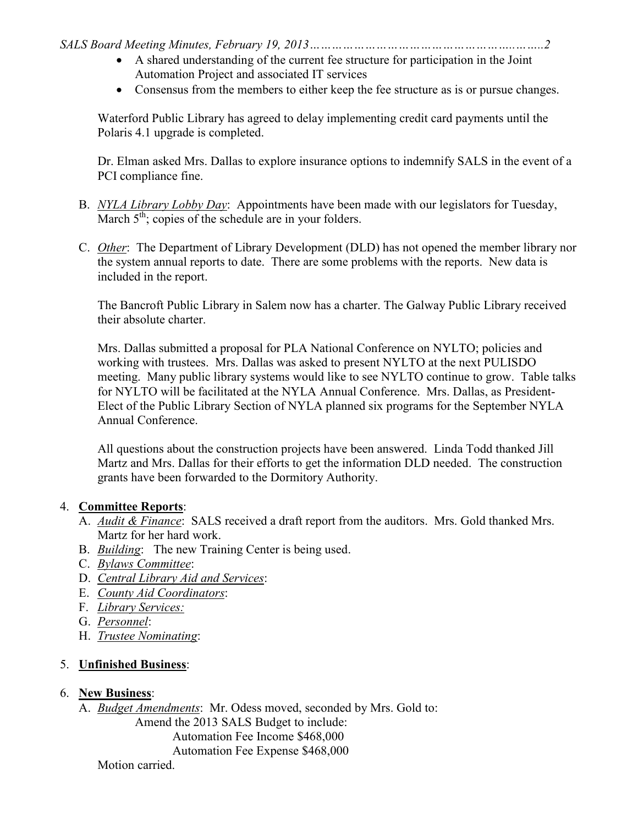*SALS Board Meeting Minutes, February 19, 2013………………………………………………..……..2* 

- A shared understanding of the current fee structure for participation in the Joint Automation Project and associated IT services
- Consensus from the members to either keep the fee structure as is or pursue changes.

Waterford Public Library has agreed to delay implementing credit card payments until the Polaris 4.1 upgrade is completed.

Dr. Elman asked Mrs. Dallas to explore insurance options to indemnify SALS in the event of a PCI compliance fine.

- B. *NYLA Library Lobby Day*: Appointments have been made with our legislators for Tuesday, March  $5<sup>th</sup>$ ; copies of the schedule are in your folders.
- C. *Other*: The Department of Library Development (DLD) has not opened the member library nor the system annual reports to date. There are some problems with the reports. New data is included in the report.

The Bancroft Public Library in Salem now has a charter. The Galway Public Library received their absolute charter.

Mrs. Dallas submitted a proposal for PLA National Conference on NYLTO; policies and working with trustees. Mrs. Dallas was asked to present NYLTO at the next PULISDO meeting. Many public library systems would like to see NYLTO continue to grow. Table talks for NYLTO will be facilitated at the NYLA Annual Conference. Mrs. Dallas, as President-Elect of the Public Library Section of NYLA planned six programs for the September NYLA Annual Conference.

All questions about the construction projects have been answered. Linda Todd thanked Jill Martz and Mrs. Dallas for their efforts to get the information DLD needed. The construction grants have been forwarded to the Dormitory Authority.

#### 4. **Committee Reports**:

- A. *Audit & Finance*: SALS received a draft report from the auditors. Mrs. Gold thanked Mrs. Martz for her hard work.
- B. *Building*: The new Training Center is being used.
- C. *Bylaws Committee*:
- D. *Central Library Aid and Services*:
- E. *County Aid Coordinators*:
- F. *Library Services:*
- G. *Personnel*:
- H. *Trustee Nominating*:

## 5. **Unfinished Business**:

#### 6. **New Business**:

A. *Budget Amendments*: Mr. Odess moved, seconded by Mrs. Gold to:

Amend the 2013 SALS Budget to include: Automation Fee Income \$468,000 Automation Fee Expense \$468,000

Motion carried.